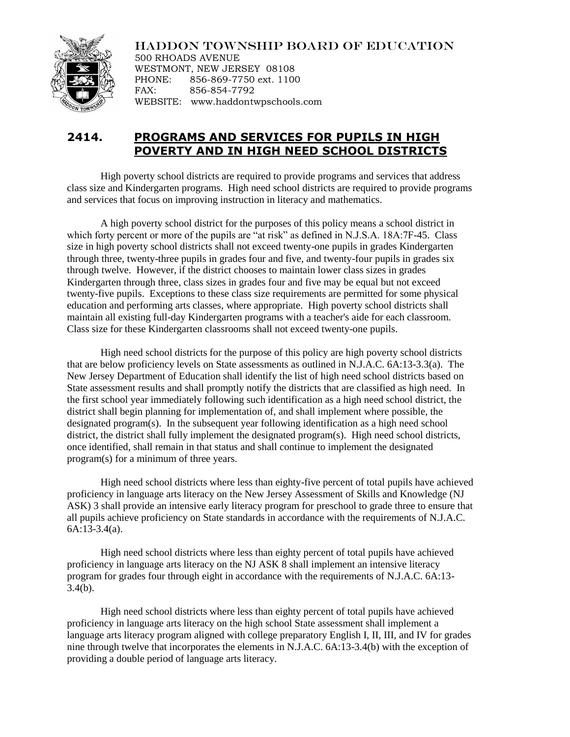

HADDON TOWNSHIP BOARD OF EDUCATION

500 RHOADS AVENUE WESTMONT, NEW JERSEY 08108 PHONE: 856-869-7750 ext. 1100 FAX: 856-854-7792 WEBSITE: www.haddontwpschools.com

## **2414. PROGRAMS AND SERVICES FOR PUPILS IN HIGH POVERTY AND IN HIGH NEED SCHOOL DISTRICTS**

High poverty school districts are required to provide programs and services that address class size and Kindergarten programs. High need school districts are required to provide programs and services that focus on improving instruction in literacy and mathematics.

A high poverty school district for the purposes of this policy means a school district in which forty percent or more of the pupils are "at risk" as defined in N.J.S.A. 18A:7F-45. Class size in high poverty school districts shall not exceed twenty-one pupils in grades Kindergarten through three, twenty-three pupils in grades four and five, and twenty-four pupils in grades six through twelve. However, if the district chooses to maintain lower class sizes in grades Kindergarten through three, class sizes in grades four and five may be equal but not exceed twenty-five pupils. Exceptions to these class size requirements are permitted for some physical education and performing arts classes, where appropriate. High poverty school districts shall maintain all existing full-day Kindergarten programs with a teacher's aide for each classroom. Class size for these Kindergarten classrooms shall not exceed twenty-one pupils.

High need school districts for the purpose of this policy are high poverty school districts that are below proficiency levels on State assessments as outlined in N.J.A.C. 6A:13-3.3(a). The New Jersey Department of Education shall identify the list of high need school districts based on State assessment results and shall promptly notify the districts that are classified as high need. In the first school year immediately following such identification as a high need school district, the district shall begin planning for implementation of, and shall implement where possible, the designated program(s). In the subsequent year following identification as a high need school district, the district shall fully implement the designated program(s). High need school districts, once identified, shall remain in that status and shall continue to implement the designated program(s) for a minimum of three years.

High need school districts where less than eighty-five percent of total pupils have achieved proficiency in language arts literacy on the New Jersey Assessment of Skills and Knowledge (NJ ASK) 3 shall provide an intensive early literacy program for preschool to grade three to ensure that all pupils achieve proficiency on State standards in accordance with the requirements of N.J.A.C. 6A:13-3.4(a).

High need school districts where less than eighty percent of total pupils have achieved proficiency in language arts literacy on the NJ ASK 8 shall implement an intensive literacy program for grades four through eight in accordance with the requirements of N.J.A.C. 6A:13- 3.4(b).

High need school districts where less than eighty percent of total pupils have achieved proficiency in language arts literacy on the high school State assessment shall implement a language arts literacy program aligned with college preparatory English I, II, III, and IV for grades nine through twelve that incorporates the elements in N.J.A.C. 6A:13-3.4(b) with the exception of providing a double period of language arts literacy.